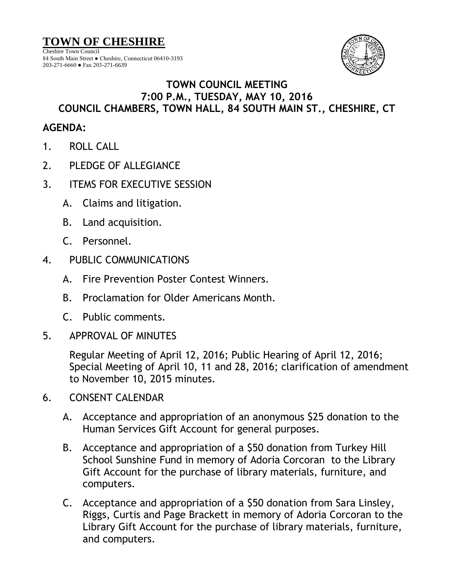**TOWN OF CHESHIRE**

Cheshire Town Council 84 South Main Street ● Cheshire, Connecticut 06410-3193 203-271-6660 ● Fax 203-271-6639



## **TOWN COUNCIL MEETING 7:00 P.M., TUESDAY, MAY 10, 2016 COUNCIL CHAMBERS, TOWN HALL, 84 SOUTH MAIN ST., CHESHIRE, CT**

## **AGENDA:**

- 1. ROLL CALL
- 2. PLEDGE OF ALLEGIANCE
- 3. ITEMS FOR EXECUTIVE SESSION
	- A. Claims and litigation.
	- B. Land acquisition.
	- C. Personnel.
- 4. PUBLIC COMMUNICATIONS
	- A. Fire Prevention Poster Contest Winners.
	- B. Proclamation for Older Americans Month.
	- C. Public comments.
- 5. APPROVAL OF MINUTES

Regular Meeting of April 12, 2016; Public Hearing of April 12, 2016; Special Meeting of April 10, 11 and 28, 2016; clarification of amendment to November 10, 2015 minutes.

- 6. CONSENT CALENDAR
	- A. Acceptance and appropriation of an anonymous \$25 donation to the Human Services Gift Account for general purposes.
	- B. Acceptance and appropriation of a \$50 donation from Turkey Hill School Sunshine Fund in memory of Adoria Corcoran to the Library Gift Account for the purchase of library materials, furniture, and computers.
	- C. Acceptance and appropriation of a \$50 donation from Sara Linsley, Riggs, Curtis and Page Brackett in memory of Adoria Corcoran to the Library Gift Account for the purchase of library materials, furniture, and computers.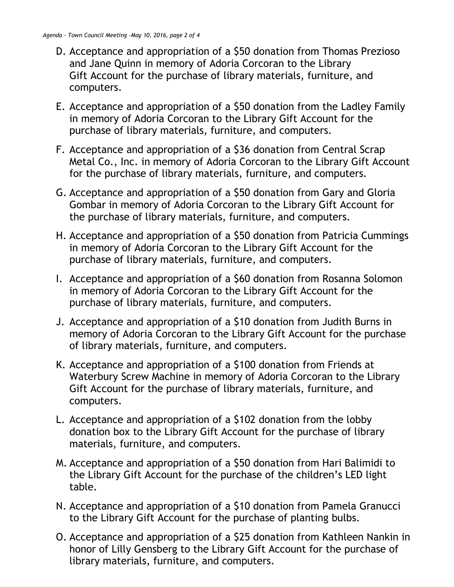- D. Acceptance and appropriation of a \$50 donation from Thomas Prezioso and Jane Quinn in memory of Adoria Corcoran to the Library Gift Account for the purchase of library materials, furniture, and computers.
- E. Acceptance and appropriation of a \$50 donation from the Ladley Family in memory of Adoria Corcoran to the Library Gift Account for the purchase of library materials, furniture, and computers.
- F. Acceptance and appropriation of a \$36 donation from Central Scrap Metal Co., Inc. in memory of Adoria Corcoran to the Library Gift Account for the purchase of library materials, furniture, and computers.
- G. Acceptance and appropriation of a \$50 donation from Gary and Gloria Gombar in memory of Adoria Corcoran to the Library Gift Account for the purchase of library materials, furniture, and computers.
- H. Acceptance and appropriation of a \$50 donation from Patricia Cummings in memory of Adoria Corcoran to the Library Gift Account for the purchase of library materials, furniture, and computers.
- I. Acceptance and appropriation of a \$60 donation from Rosanna Solomon in memory of Adoria Corcoran to the Library Gift Account for the purchase of library materials, furniture, and computers.
- J. Acceptance and appropriation of a \$10 donation from Judith Burns in memory of Adoria Corcoran to the Library Gift Account for the purchase of library materials, furniture, and computers.
- K. Acceptance and appropriation of a \$100 donation from Friends at Waterbury Screw Machine in memory of Adoria Corcoran to the Library Gift Account for the purchase of library materials, furniture, and computers.
- L. Acceptance and appropriation of a \$102 donation from the lobby donation box to the Library Gift Account for the purchase of library materials, furniture, and computers.
- M. Acceptance and appropriation of a \$50 donation from Hari Balimidi to the Library Gift Account for the purchase of the children's LED light table.
- N. Acceptance and appropriation of a \$10 donation from Pamela Granucci to the Library Gift Account for the purchase of planting bulbs.
- O. Acceptance and appropriation of a \$25 donation from Kathleen Nankin in honor of Lilly Gensberg to the Library Gift Account for the purchase of library materials, furniture, and computers.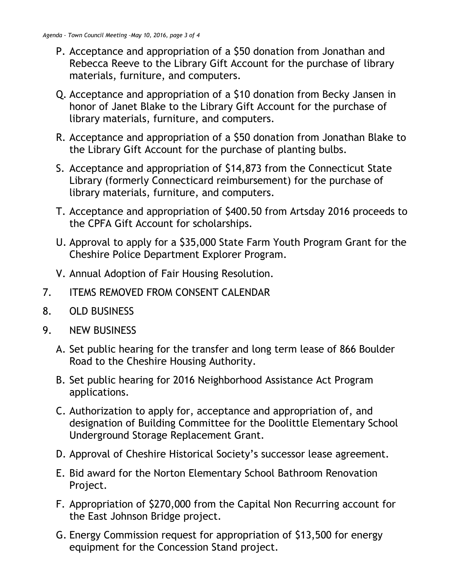- P. Acceptance and appropriation of a \$50 donation from Jonathan and Rebecca Reeve to the Library Gift Account for the purchase of library materials, furniture, and computers.
- Q. Acceptance and appropriation of a \$10 donation from Becky Jansen in honor of Janet Blake to the Library Gift Account for the purchase of library materials, furniture, and computers.
- R. Acceptance and appropriation of a \$50 donation from Jonathan Blake to the Library Gift Account for the purchase of planting bulbs.
- S. Acceptance and appropriation of \$14,873 from the Connecticut State Library (formerly Connecticard reimbursement) for the purchase of library materials, furniture, and computers.
- T. Acceptance and appropriation of \$400.50 from Artsday 2016 proceeds to the CPFA Gift Account for scholarships.
- U. Approval to apply for a \$35,000 State Farm Youth Program Grant for the Cheshire Police Department Explorer Program.
- V. Annual Adoption of Fair Housing Resolution.
- 7. ITEMS REMOVED FROM CONSENT CALENDAR
- 8. OLD BUSINESS
- 9. NEW BUSINESS
	- A. Set public hearing for the transfer and long term lease of 866 Boulder Road to the Cheshire Housing Authority.
	- B. Set public hearing for 2016 Neighborhood Assistance Act Program applications.
	- C. Authorization to apply for, acceptance and appropriation of, and designation of Building Committee for the Doolittle Elementary School Underground Storage Replacement Grant.
	- D. Approval of Cheshire Historical Society's successor lease agreement.
	- E. Bid award for the Norton Elementary School Bathroom Renovation Project.
	- F. Appropriation of \$270,000 from the Capital Non Recurring account for the East Johnson Bridge project.
	- G. Energy Commission request for appropriation of \$13,500 for energy equipment for the Concession Stand project.